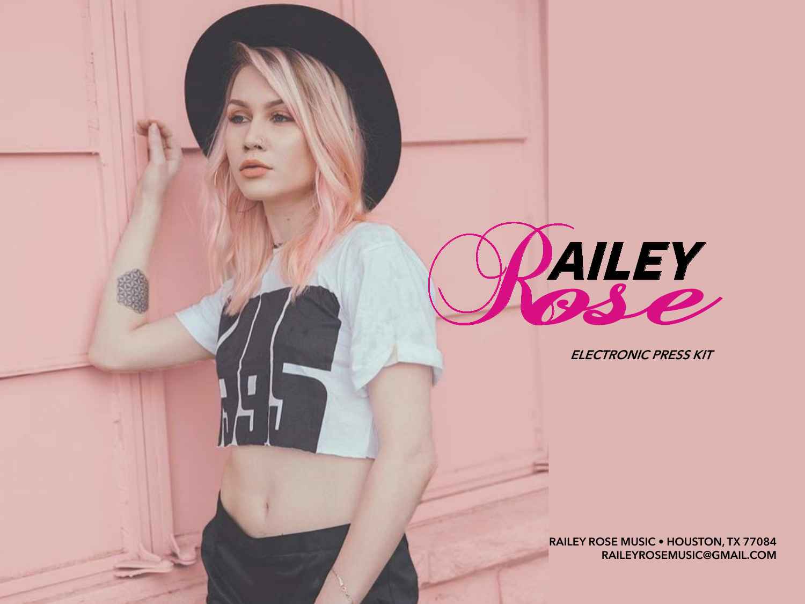

**ELECTRONIC PRESS KIT**

**RAILEY ROSE MUSIC • HOUSTON, TX 77084 RAILEYROSEMUSIC@GMAIL.COM**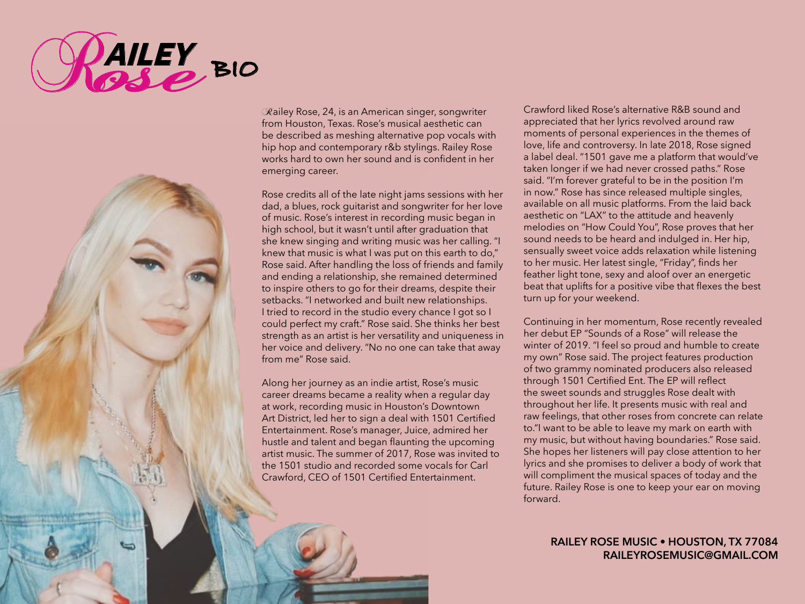



Railey Rose, 24, is an American singer, songwriter from Houston, Texas. Rose's musical aesthetic can be described as meshing alternative pop vocals with hip hop and contemporary r&b stylings. Railey Rose works hard to own her sound and is confident in her emerging career.

Rose credits all of the late night jams sessions with her dad, a blues, rock guitarist and songwriter for her love of music. Rose's interest in recording music began in high school, but it wasn't until after graduation that she knew singing and writing music was her calling. "I knew that music is what I was put on this earth to do," Rose said. After handling the loss of friends and family and ending a relationship, she remained determined to inspire others to go for their dreams, despite their setbacks. "I networked and built new relationships. I tried to record in the studio every chance I got so I could perfect my craft." Rose said. She thinks her best strength as an artist is her versatility and uniqueness in her voice and delivery. "No no one can take that away from me" Rose said.

Along her journey as an indie artist, Rose's music career dreams became a reality when a regular day at work, recording music in Houston's Downtown Art District, led her to sign a deal with 1501 Certified Entertainment. Rose's manager, Juice, admired her hustle and talent and began flaunting the upcoming artist music. The summer of 2017, Rose was invited to the 1501 studio and recorded some vocals for Carl Crawford, CEO of 1501 Certified Entertainment.

Crawford liked Rose's alternative R&B sound and appreciated that her lyrics revolved around raw moments of personal experiences in the themes of love, life and controversy. In late 2018, Rose signed a label deal. "1501 gave me a platform that would've taken longer if we had never crossed paths." Rose said. "I'm forever grateful to be in the position I'm in now." Rose has since released multiple singles, available on all music platforms. From the laid back aesthetic on "LAX" to the attitude and heavenly melodies on "How Could You", Rose proves that her sound needs to be heard and indulged in. Her hip, sensually sweet voice adds relaxation while listening to her music. Her latest single, "Friday", finds her feather light tone, sexy and aloof over an energetic beat that uplifts for a positive vibe that flexes the best turn up for your weekend.

Continuing in her momentum, Rose recently revealed her debut EP "Sounds of a Rose" will release the winter of 2019. "I feel so proud and humble to create my own" Rose said. The project features production of two grammy nominated producers also released through 1501 Certified Ent. The EP will reflect the sweet sounds and struggles Rose dealt with throughout her life. It presents music with real and raw feelings, that other roses from concrete can relate to."I want to be able to leave my mark on earth with my music, but without having boundaries." Rose said. She hopes her listeners will pay close attention to her lyrics and she promises to deliver a body of work that will compliment the musical spaces of today and the future. Railey Rose is one to keep your ear on moving forward.

## **RAILEY ROSE MUSIC • HOUSTON, TX 77084 RAILEYROSEMUSIC@GMAIL.COM**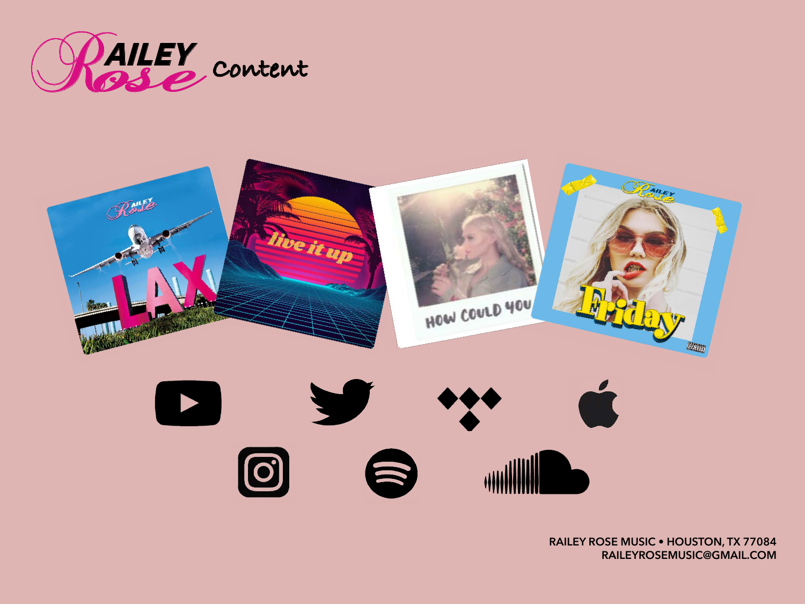

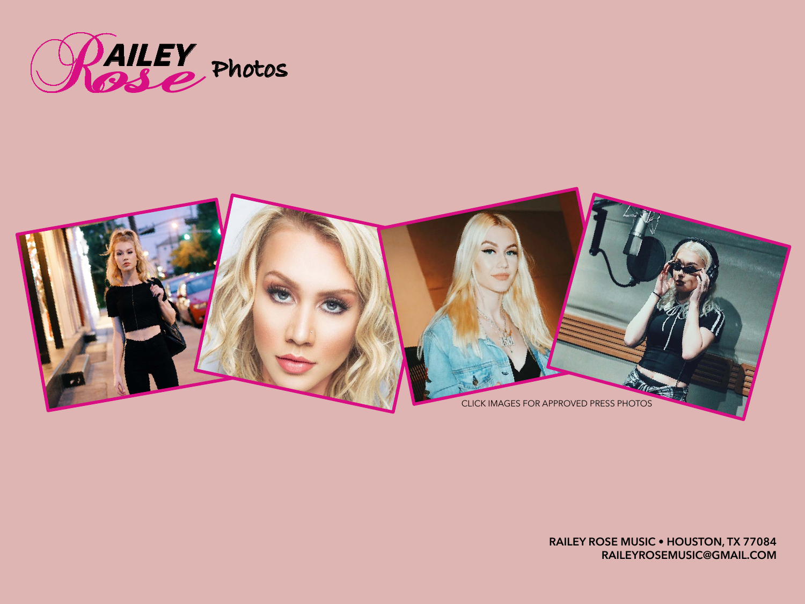



**RAILEY ROSE MUSIC • HOUSTON, TX 77084 RAILEYROSEMUSIC@GMAIL.COM**